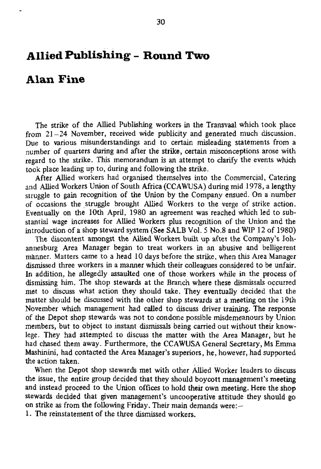## **Allied Publishing - Round Two**

## **Alan Fine**

The strike of the Allied Publishing workers in the Transvaal which took place from  $21-24$  November, received wide publicity and generated much discussion. Due to various misunderstandings and to certain misleading statements from a number of quarters during and after the strike, certain misconceptions arose with regard to the strike. This memorandum is an attempt to clarify the events which took place leading up to, during and following the strike.

After Allied workers had organised themselves into the Commercial, Catering and Allied Workers Union of South Africa (CCAWUSA) during mid 1978, a lengthy struggle to gain recognition of the Union by the Company ensued. On a number of occasions the struggle brought Allied Workers to the verge of strike action. Eventually on the 10th April, 1980 an agreement was reached which led to substantial wage increases for Allied Workers plus recognition of the Union and the introduction of a shop steward system (See SALB Vol. 5 No.8 and WIP 12 of 1980)

The discontent amongst the Allied Workers built up after the Company's Johannesburg Area Manager began to treat workers in an abusive and belligerent manner. Matters came to a head 10 days before the strike, when this Area Manager dismissed three workers in a manner which their colleagues considered to be unfair. In addition, he allegedly assaulted one of those workers while in the process of dismissing him. The shop stewards at the Branch where these dismissals occurred met to discuss what action they should take. They eventually decided that the matter should be discussed with the other shop stewards at a meeting on the 19th November which management had called to discuss driver training. The response of the Depot shop stewards was not to condone possible misdemeanours by Union members, but to object to instant dismissals being carried out without their knowlege. They had attempted to discuss the matter with the Area Manager, but he had chased them away. Furthermore, the CCAWUSA General Secretary, Ms Emma Mashinini, had contacted the Area Manager's superiors, he, however, had supported meshannu, nau oo<br>the estism taken. When the Depot shop stewards met with other Allied Worker leaders to discuss the issue, the entire group decided that they should boycott management's meeting and instead proceed to the Union offices to hold their own meeting. Here the shop stewards decided that given management's uncooperative attitude they should go on strike as from the following Friday. Their main demands were: $-$ 1. The reinstatement of the three dismissed workers.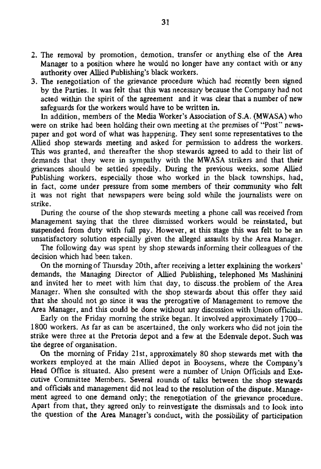- 2. The removal by promotion, demotion, transfer or anything else of the Area Manager to a position where he would no longer have any contact with or any authority over Allied Publishing's black workers.
- 3. The renegotiation of the grievance procedure which had recently been signed by the Parties. It was felt that this was necessary because the Company had not acted within the spirit of the agreement and it was clear that a number of new safeguards for the workers would have to be written in.

In addition, members of the Media Worker's Association of S.A. (MWASA) who were on strike had been holding their own meeting at the premises of "Post" newspaper and got word of what was happening. They sent some representatives to the Allied shop stewards meeting and asked for permission to address the workers. This was granted, and thereafter the shop stewards agreed to add to their list of demands that they were in sympathy with the MWASA strikers and that their grievances should be settled speedily. During the previous weeks, some Allied Publishing workers, especially those who worked in the black townships, had, in fact, come under pressure from some members of their community who felt it was not right that newspapers were being sold while the journalists were on strike.

During the course of the shop stewards meeting a phone call was received from Management saying that the three dismissed workers would be reinstated, but suspended from duty with full pay. However, at this stage this was felt to be an unsatisfactory solution especially given the alleged assaults by the Area Manager.

The following day was spent by shop stewards informing their colleagues of the decision which had been taken.

On the morning of Thursday 20th, after receiving a letter explaining the workers' demands, the Managing Director of Allied Publishing, telephoned Ms Mashinini and invited her to meet with him that day, to discuss.the problem of the Area Manager. When she consulted with the shop stewards about this offer they said that she should not go since it was the prerogative of Management to remove the Area Manager, and this could be done without any discussion with Union officials.

Early on the Friday morning the strike began. It involved approximately 1700- 1800 workers. As far as can be ascertained, the only workers who did not join the strike were three at the Pretoria depot and a few at the Edenvale depot. Such was the degree of organisation.

On the morning of Friday 21st, approximately 80 shop stewards met with the workers employed at the main Allied depot in Booysens, where the Company's Head Office is situated. Also present were a number of Union Officials and Executive Committee Members. Several rounds of talks between the shop stewards and officials and management did not lead to the resolution of the dispute. Management agreed to one demand only; the renegotiation of the grievance procedure. Apart from that, they agreed only to reinvestigate the dismissals and to look into the question of the Area Manager's conduct, with the possibility of participation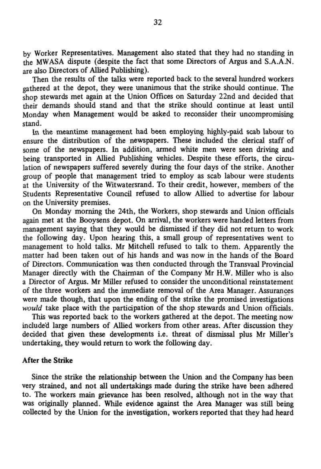by Worker Representatives. Management also stated that they had no standing in the MWASA dispute (despite the fact that some Directors of Argus and S.A.A.N. are also Directors of Allied Publishing).

Then the results of the talks were reported back to the several hundred workers gathered at the depot, they were unanimous that the strike should continue. The shop stewards met again at the Union Offices on Saturday 22nd and decided that their demands should stand and that the strike should continue at least until Monday when Management would be asked to reconsider their uncompromising stand.

In the meantime management had been employing highly-paid scab labour to ensure the distribution of the newspapers. These included the clerical staff of some of the newspapers. In addition, armed white men were seen driving and being transported in Allied Publishing vehicles. Despite these efforts, the circulation of newspapers suffered severely during the four days of the strike. Another group of people that management tried to employ as scab labour were students at the University of the Witwatersrand. To their credit, however, members of the Students Representative Council refused to allow Allied to advertise for labour on the University premises.

On Monday morning the 24th, the Workers, shop stewards and Union officials again met at the Booysens depot. On arrival, the workers were handed letters from management saying that they would be dismissed if they did not return to work the following day. Upon hearing this, a small group of representatives went to management to hold talks. Mr Mitchell refused to talk to them. Apparently the matter had been taken out of his hands and was now in the hands of the Board of Directors. Communication was then conducted through the Transvaal Provincial Manager directly with the Chairman of the Company Mr H.W. Miller who is also a Director of Argus. Mr Miller refused to consider the unconditional reinstatement of the three workers and the immediate removal of the Area Manager. Assurances were made though, that upon the ending of the strike the promised investigations *would* take place with the participation of the shop stewards and Union officials.

This was reported back to the workers gathered at the depot. The meeting now included large numbers of Allied workers from other areas. After discussion they decided that given these developments i.e. threat of dismissal plus Mr Miller's undertaking, they would return to work the following day.

## After **the** Strike

Since the strike the relationship between the Union and the Company has been very strained, and not all undertakings made during the strike have been adhered to. The workers main grievance has been resolved, although not in the way that was originally planned. **While** evidence against the Area Manager was still being collected by the Union for the investigation, workers reported that they had heard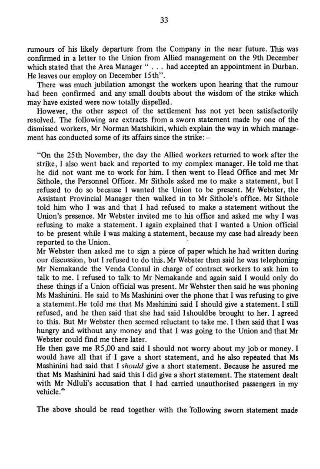rumours of his likely departure from the Company in the near future. This was confirmed in a letter to the Union from Allied management on the 9th December which stated that the Area Manager "... had accepted an appointment in Durban. He leaves our employ on December 15th".

There was much jubilation amongst the workers upon hearing that the rumour had been confirmed and any small doubts about the wisdom of the strike which may have existed were now totally dispelled.

However, the other aspect of the settlement has not yet been satisfactorily resolved. The following are extracts from a sworn statement made by one of the dismissed workers, Mr Norman Matshikiri, which explain the way in which management has conducted some of its affairs since the strike: —

"On the 25 th November, the day the Allied workers returned to work after the strike, I also went back and reported to my complex manager. He told me that he did not want me to work for him. I then went to Head Office and met Mr Sithole, the Personnel Officer. Mr Sithole asked me to make a statement, but I refused to do so because I wanted the Union to be present. Mr Webster, the Assistant Provincial Manager then walked in to Mr Sithole's office. Mr Sithole told him who 1 was and that 1 had refused to make a statement without the Union's presence. Mr Webster invited me to his office and asked me why I was refusing to make a statement. 1 again explained that 1 wanted a Union official to be present while 1 was making a statement, because my case had already been reported to the Union.

He then gave me R5,00 and said 1 should not worry about my job or money. I would have all that if -I gave a short statement, and he also repeated that Ms Mashinini had said that I *should* give a short statement. Because he assured me that Ms Mashinini had said this I did give a short statement. The statement dealt with Mr Ndluli's accusation that I had carried unauthorised passengers in my vehicle."

Mr Webster then asked me to sign a piece of paper which he had written during our discussion, but I refused to do this. Mr Webster then said he was telephoning Mr Nemakande the Venda Consul in charge of contract workers to ask him to talk to me. 1 refused to talk to Mr Nemakande and again said I would only do these things if a Union official was present. Mr Webster then said he was phoning Ms Mashinini. He said to Ms Mashinini over the phone that I was refusing to give a statement. He told me that Ms Mashinini said I should give a statement. I still refused, and he then said that she had said I should be brought to her. I agreed **to this.** But Mr Webster then seemed reluctant to take me. I then said that I was hungry and without any money and that I was going to the Union and that Mr Webster could find me there later.

The above should be read together with the "following sworn statement made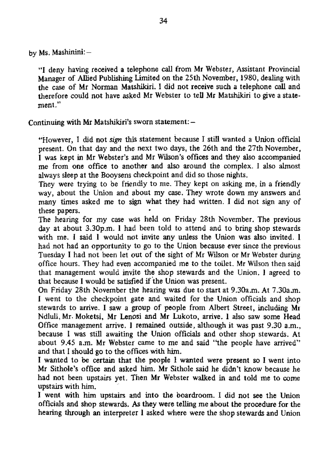by Ms. Mashinini:-

"I deny having received a telephone call from Mr Webster, Assistant Provincial Manager of Allied Publishing limited on the 25th November, 1980, dealing with the case of Mr Norman Matshikiri. I did not receive such a telephone call and therefore could not have asked Mr Webster to tell Mr Matshikiri to give a statement."

Continuing with Mr Matshikiri's sworn statement: -

"However, I did not *sign* this statement because I still wanted a Union official present. On that day and the next two days, the 26th and the 27th November, I was kept in Mr Webster's and Mr Wilson's offices and they also accompanied me from one office to another and also around the complex. I also almost always sleep at the Booysens checkpoint and did so those nights.

They were trying to be friendly to me. They kept on asking me, in a friendly way, about the Union and about my case. They wrote down my answers and many times asked me to sign what they had written. I did not sign any of these papers.

The hearing for my case was held on Friday 28th November. The previous day at about 3.30p.m. 1 had been told to attend and to bring shop stewards with me. I said I would not invite any unless the Union was also invited. I had not had an opportunity to go to the Union because ever since the previous Tuesday I had not been let out of the sight of Mr Wilson or Mr Webster during office hours. They had even accompanied me to the toilet. Mr Wilson then said that management would invite the shop stewards and the Union. 1 agreed to that because I would be satisfied if the Union was present.

On Friday 28th November the hearing was due to start at 9.30a.m. At 7.30a.m. I went to the checkpoint gate and waited for the Union officials and shop stewards to arrive. I saw a group of people from Albert Street, including Mr Ndluli, Mr. Moketsi, Mr Lenosi and Mr Lukoto, arrive. I also saw some Head Office management arrive. I remained outside, although it was past 9.30 a.m., because i was still awaiting the Union officials and other shop stewards. At about 9.45 a.m. Mr Webster came to me and said "the people have arrived" and that I should go to the offices with him.

1 wanted to be certain that the people I wanted were present so I went into Mr Sithole's office and asked him. Mr Sithole said he didn't know because he had not been upstairs yet. Then Mr Webster walked in and told me to come upstairs with him. 1 went with him upstairs and into the boardroom. I did not see the Union officials and shop stewards. As they were telling me about the procedure for the hearing through an interpreter I asked where were the shop stewards and Union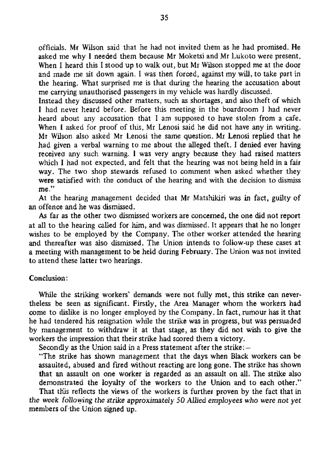officials. Mr Wilson said that he had not invited them as he had promised. He asked me why I needed them because Mr Moketsi and Mr Lukoto were present. When I heard this I stood up to walk out, but Mr Wilson stopped me at the door and made me sit down again. I was then forced, against my will, to take part in the hearing. What surprised me is that during the hearing the accusation about me carrying unauthorised passengers in my vehicle was hardly discussed.

Instead they discussed other matters, such as shortages, and also theft of which I had never heard before. Before this meeting in the boardroom 1 had never heard about any accusation that 1 am supposed to have stolen from a cafe. When I asked for proof of this, Mr Lenosi said he did not have any in writing. Mr Wilson also asked Mr Lenosi the same question. Mr Lenosi replied that he had given a verbal warning to me about the alleged theft. I denied ever having received any such warning. I was very angry because they had raised matters which I had not expected, and felt that the hearing was not being held in a fair way. The two shop stewards refused to comment when asked whether they were satisfied with the conduct of the hearing and with the decision to dismiss me."

assaulted, abused and fired without reacting are long gone. The strike has shown that an assault on one worker is regarded as an assault on all. The strike also demonstrated the loyalty of the workers to the Union and to each other." That this reflects the views of the workers is further proven by the fact that in that the renotes the strike so the workers is reither proven by the ract that in me week following the strike app

At the hearing management decided that Mr Matshikiri was in fact, guilty of an offence and he was dismissed.

As far as the other two dismissed workers are concerned, the one did not report at all to the hearing called for him, and was dismissed. It appears that he no longer wishes to be employed by the Company. The other worker attended the hearing and thereafter was also dismissed. The Union intends to follow-up these cases at a meeting with management to be held during February. The Union was not invited to attend these latter two hearings.

## Conclusion:

While the striking workers' demands were not fully met, this strike can nevertheless be seen as significant. Firstly, the Area Manager whom the workers had come to dislike is no longer employed by the Company. In fact, rumour has it that he had tendered his resignation while the strike was in progress, but was persuaded by management to withdraw it at that stage, as they did not wish to give the workers the impression that their strike had scored them a victory.

Secondly as the Union said in a Press statement after the strike: —

"The strike has shown management that the days when Black workers can be